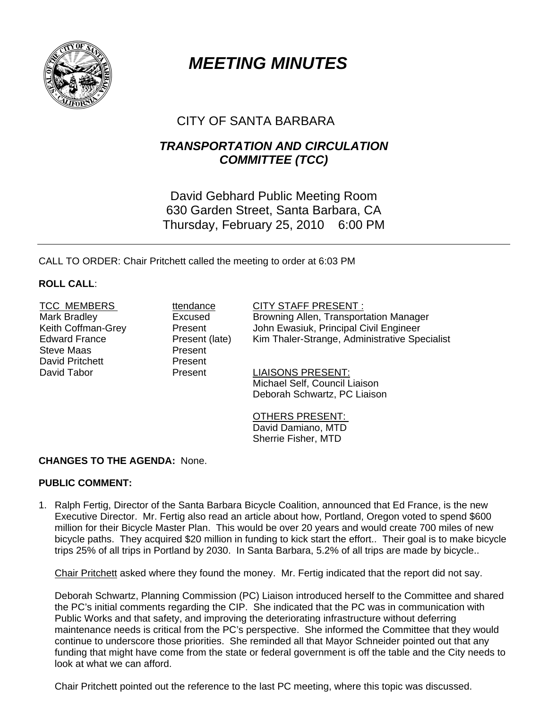

# *MEETING MINUTES*

# CITY OF SANTA BARBARA

## *TRANSPORTATION AND CIRCULATION COMMITTEE (TCC)*

David Gebhard Public Meeting Room 630 Garden Street, Santa Barbara, CA Thursday, February 25, 2010 6:00 PM

CALL TO ORDER: Chair Pritchett called the meeting to order at 6:03 PM

### **ROLL CALL**:

Steve Maas **Present** David Pritchett Present

TCC MEMBERS ttendance CITY STAFF PRESENT :

Mark Bradley **Excused** Browning Allen, Transportation Manager Keith Coffman-Grey **Realt Collect Engineer** John Ewasiuk, Principal Civil Engineer<br>
Edward France **Present (late)** Kim Thaler-Strange. Administrative Spe Present (late) Kim Thaler-Strange, Administrative Specialist

David Tabor **Present** Present LIAISONS PRESENT: Michael Self, Council Liaison Deborah Schwartz, PC Liaison

> OTHERS PRESENT: David Damiano, MTD Sherrie Fisher, MTD

## **CHANGES TO THE AGENDA:** None.

#### **PUBLIC COMMENT:**

1. Ralph Fertig, Director of the Santa Barbara Bicycle Coalition, announced that Ed France, is the new Executive Director. Mr. Fertig also read an article about how, Portland, Oregon voted to spend \$600 million for their Bicycle Master Plan. This would be over 20 years and would create 700 miles of new bicycle paths. They acquired \$20 million in funding to kick start the effort.. Their goal is to make bicycle trips 25% of all trips in Portland by 2030. In Santa Barbara, 5.2% of all trips are made by bicycle..

Chair Pritchett asked where they found the money. Mr. Fertig indicated that the report did not say.

 Deborah Schwartz, Planning Commission (PC) Liaison introduced herself to the Committee and shared the PC's initial comments regarding the CIP. She indicated that the PC was in communication with Public Works and that safety, and improving the deteriorating infrastructure without deferring maintenance needs is critical from the PC's perspective. She informed the Committee that they would continue to underscore those priorities. She reminded all that Mayor Schneider pointed out that any funding that might have come from the state or federal government is off the table and the City needs to look at what we can afford.

Chair Pritchett pointed out the reference to the last PC meeting, where this topic was discussed.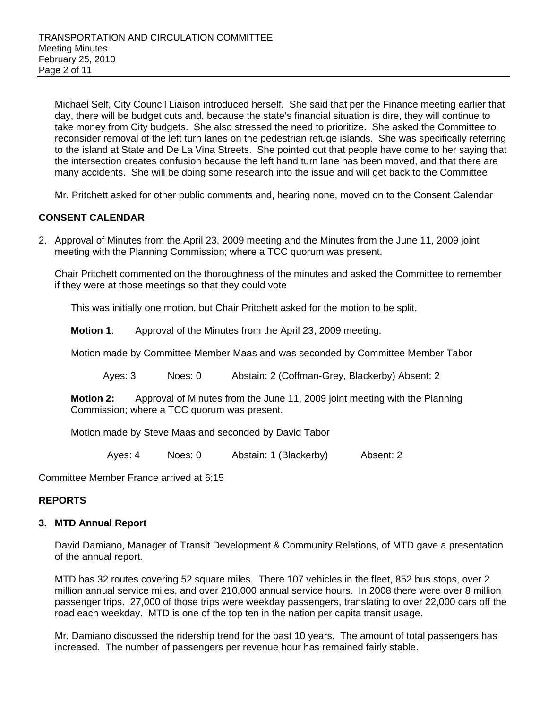Michael Self, City Council Liaison introduced herself. She said that per the Finance meeting earlier that day, there will be budget cuts and, because the state's financial situation is dire, they will continue to take money from City budgets. She also stressed the need to prioritize. She asked the Committee to reconsider removal of the left turn lanes on the pedestrian refuge islands. She was specifically referring to the island at State and De La Vina Streets. She pointed out that people have come to her saying that the intersection creates confusion because the left hand turn lane has been moved, and that there are many accidents. She will be doing some research into the issue and will get back to the Committee

Mr. Pritchett asked for other public comments and, hearing none, moved on to the Consent Calendar

#### **CONSENT CALENDAR**

2. Approval of Minutes from the April 23, 2009 meeting and the Minutes from the June 11, 2009 joint meeting with the Planning Commission; where a TCC quorum was present.

Chair Pritchett commented on the thoroughness of the minutes and asked the Committee to remember if they were at those meetings so that they could vote

This was initially one motion, but Chair Pritchett asked for the motion to be split.

**Motion 1**: Approval of the Minutes from the April 23, 2009 meeting.

Motion made by Committee Member Maas and was seconded by Committee Member Tabor

Ayes: 3 Noes: 0 Abstain: 2 (Coffman-Grey, Blackerby) Absent: 2

**Motion 2:** Approval of Minutes from the June 11, 2009 joint meeting with the Planning Commission; where a TCC quorum was present.

Motion made by Steve Maas and seconded by David Tabor

Ayes: 4 Noes: 0 Abstain: 1 (Blackerby) Absent: 2

Committee Member France arrived at 6:15

#### **REPORTS**

#### **3. MTD Annual Report**

David Damiano, Manager of Transit Development & Community Relations, of MTD gave a presentation of the annual report.

MTD has 32 routes covering 52 square miles. There 107 vehicles in the fleet, 852 bus stops, over 2 million annual service miles, and over 210,000 annual service hours. In 2008 there were over 8 million passenger trips. 27,000 of those trips were weekday passengers, translating to over 22,000 cars off the road each weekday. MTD is one of the top ten in the nation per capita transit usage.

Mr. Damiano discussed the ridership trend for the past 10 years. The amount of total passengers has increased. The number of passengers per revenue hour has remained fairly stable.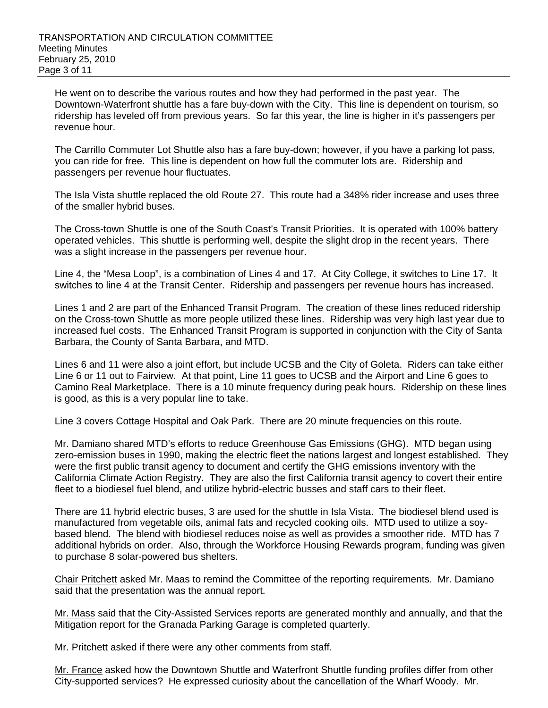He went on to describe the various routes and how they had performed in the past year. The Downtown-Waterfront shuttle has a fare buy-down with the City. This line is dependent on tourism, so ridership has leveled off from previous years. So far this year, the line is higher in it's passengers per revenue hour.

The Carrillo Commuter Lot Shuttle also has a fare buy-down; however, if you have a parking lot pass, you can ride for free. This line is dependent on how full the commuter lots are. Ridership and passengers per revenue hour fluctuates.

The Isla Vista shuttle replaced the old Route 27. This route had a 348% rider increase and uses three of the smaller hybrid buses.

The Cross-town Shuttle is one of the South Coast's Transit Priorities. It is operated with 100% battery operated vehicles. This shuttle is performing well, despite the slight drop in the recent years. There was a slight increase in the passengers per revenue hour.

Line 4, the "Mesa Loop", is a combination of Lines 4 and 17. At City College, it switches to Line 17. It switches to line 4 at the Transit Center. Ridership and passengers per revenue hours has increased.

Lines 1 and 2 are part of the Enhanced Transit Program. The creation of these lines reduced ridership on the Cross-town Shuttle as more people utilized these lines. Ridership was very high last year due to increased fuel costs. The Enhanced Transit Program is supported in conjunction with the City of Santa Barbara, the County of Santa Barbara, and MTD.

Lines 6 and 11 were also a joint effort, but include UCSB and the City of Goleta. Riders can take either Line 6 or 11 out to Fairview. At that point, Line 11 goes to UCSB and the Airport and Line 6 goes to Camino Real Marketplace. There is a 10 minute frequency during peak hours. Ridership on these lines is good, as this is a very popular line to take.

Line 3 covers Cottage Hospital and Oak Park. There are 20 minute frequencies on this route.

Mr. Damiano shared MTD's efforts to reduce Greenhouse Gas Emissions (GHG). MTD began using zero-emission buses in 1990, making the electric fleet the nations largest and longest established. They were the first public transit agency to document and certify the GHG emissions inventory with the California Climate Action Registry. They are also the first California transit agency to covert their entire fleet to a biodiesel fuel blend, and utilize hybrid-electric busses and staff cars to their fleet.

There are 11 hybrid electric buses, 3 are used for the shuttle in Isla Vista. The biodiesel blend used is manufactured from vegetable oils, animal fats and recycled cooking oils. MTD used to utilize a soybased blend. The blend with biodiesel reduces noise as well as provides a smoother ride. MTD has 7 additional hybrids on order. Also, through the Workforce Housing Rewards program, funding was given to purchase 8 solar-powered bus shelters.

Chair Pritchett asked Mr. Maas to remind the Committee of the reporting requirements. Mr. Damiano said that the presentation was the annual report.

Mr. Mass said that the City-Assisted Services reports are generated monthly and annually, and that the Mitigation report for the Granada Parking Garage is completed quarterly.

Mr. Pritchett asked if there were any other comments from staff.

Mr. France asked how the Downtown Shuttle and Waterfront Shuttle funding profiles differ from other City-supported services? He expressed curiosity about the cancellation of the Wharf Woody. Mr.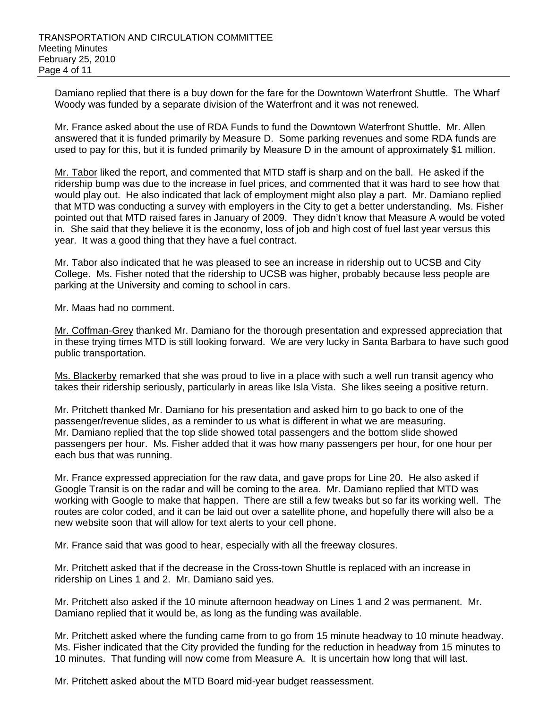Damiano replied that there is a buy down for the fare for the Downtown Waterfront Shuttle. The Wharf Woody was funded by a separate division of the Waterfront and it was not renewed.

Mr. France asked about the use of RDA Funds to fund the Downtown Waterfront Shuttle. Mr. Allen answered that it is funded primarily by Measure D. Some parking revenues and some RDA funds are used to pay for this, but it is funded primarily by Measure D in the amount of approximately \$1 million.

Mr. Tabor liked the report, and commented that MTD staff is sharp and on the ball. He asked if the ridership bump was due to the increase in fuel prices, and commented that it was hard to see how that would play out. He also indicated that lack of employment might also play a part. Mr. Damiano replied that MTD was conducting a survey with employers in the City to get a better understanding. Ms. Fisher pointed out that MTD raised fares in January of 2009. They didn't know that Measure A would be voted in. She said that they believe it is the economy, loss of job and high cost of fuel last year versus this year. It was a good thing that they have a fuel contract.

Mr. Tabor also indicated that he was pleased to see an increase in ridership out to UCSB and City College. Ms. Fisher noted that the ridership to UCSB was higher, probably because less people are parking at the University and coming to school in cars.

Mr. Maas had no comment.

Mr. Coffman-Grey thanked Mr. Damiano for the thorough presentation and expressed appreciation that in these trying times MTD is still looking forward. We are very lucky in Santa Barbara to have such good public transportation.

Ms. Blackerby remarked that she was proud to live in a place with such a well run transit agency who takes their ridership seriously, particularly in areas like Isla Vista. She likes seeing a positive return.

Mr. Pritchett thanked Mr. Damiano for his presentation and asked him to go back to one of the passenger/revenue slides, as a reminder to us what is different in what we are measuring. Mr. Damiano replied that the top slide showed total passengers and the bottom slide showed passengers per hour. Ms. Fisher added that it was how many passengers per hour, for one hour per each bus that was running.

Mr. France expressed appreciation for the raw data, and gave props for Line 20. He also asked if Google Transit is on the radar and will be coming to the area. Mr. Damiano replied that MTD was working with Google to make that happen. There are still a few tweaks but so far its working well. The routes are color coded, and it can be laid out over a satellite phone, and hopefully there will also be a new website soon that will allow for text alerts to your cell phone.

Mr. France said that was good to hear, especially with all the freeway closures.

Mr. Pritchett asked that if the decrease in the Cross-town Shuttle is replaced with an increase in ridership on Lines 1 and 2. Mr. Damiano said yes.

Mr. Pritchett also asked if the 10 minute afternoon headway on Lines 1 and 2 was permanent. Mr. Damiano replied that it would be, as long as the funding was available.

Mr. Pritchett asked where the funding came from to go from 15 minute headway to 10 minute headway. Ms. Fisher indicated that the City provided the funding for the reduction in headway from 15 minutes to 10 minutes. That funding will now come from Measure A. It is uncertain how long that will last.

Mr. Pritchett asked about the MTD Board mid-year budget reassessment.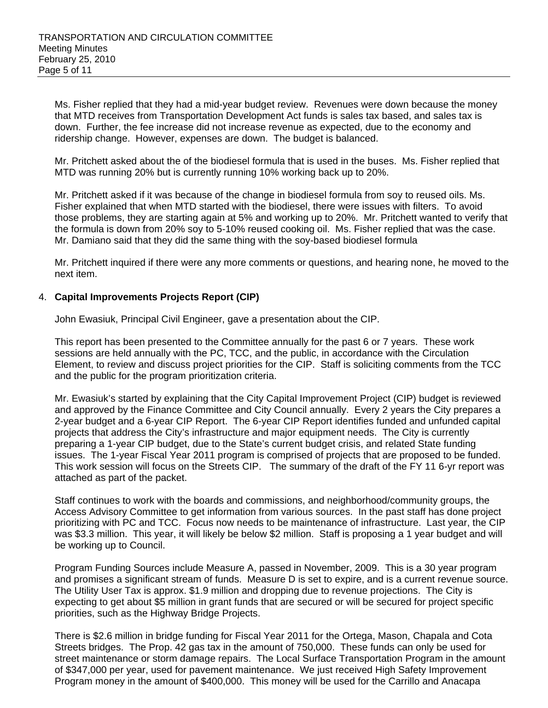Ms. Fisher replied that they had a mid-year budget review. Revenues were down because the money that MTD receives from Transportation Development Act funds is sales tax based, and sales tax is down. Further, the fee increase did not increase revenue as expected, due to the economy and ridership change. However, expenses are down. The budget is balanced.

Mr. Pritchett asked about the of the biodiesel formula that is used in the buses. Ms. Fisher replied that MTD was running 20% but is currently running 10% working back up to 20%.

Mr. Pritchett asked if it was because of the change in biodiesel formula from soy to reused oils. Ms. Fisher explained that when MTD started with the biodiesel, there were issues with filters. To avoid those problems, they are starting again at 5% and working up to 20%. Mr. Pritchett wanted to verify that the formula is down from 20% soy to 5-10% reused cooking oil. Ms. Fisher replied that was the case. Mr. Damiano said that they did the same thing with the soy-based biodiesel formula

Mr. Pritchett inquired if there were any more comments or questions, and hearing none, he moved to the next item.

#### 4. **Capital Improvements Projects Report (CIP)**

John Ewasiuk, Principal Civil Engineer, gave a presentation about the CIP.

This report has been presented to the Committee annually for the past 6 or 7 years. These work sessions are held annually with the PC, TCC, and the public, in accordance with the Circulation Element, to review and discuss project priorities for the CIP. Staff is soliciting comments from the TCC and the public for the program prioritization criteria.

Mr. Ewasiuk's started by explaining that the City Capital Improvement Project (CIP) budget is reviewed and approved by the Finance Committee and City Council annually. Every 2 years the City prepares a 2-year budget and a 6-year CIP Report. The 6-year CIP Report identifies funded and unfunded capital projects that address the City's infrastructure and major equipment needs. The City is currently preparing a 1-year CIP budget, due to the State's current budget crisis, and related State funding issues. The 1-year Fiscal Year 2011 program is comprised of projects that are proposed to be funded. This work session will focus on the Streets CIP. The summary of the draft of the FY 11 6-yr report was attached as part of the packet.

Staff continues to work with the boards and commissions, and neighborhood/community groups, the Access Advisory Committee to get information from various sources. In the past staff has done project prioritizing with PC and TCC. Focus now needs to be maintenance of infrastructure. Last year, the CIP was \$3.3 million. This year, it will likely be below \$2 million. Staff is proposing a 1 year budget and will be working up to Council.

Program Funding Sources include Measure A, passed in November, 2009. This is a 30 year program and promises a significant stream of funds. Measure D is set to expire, and is a current revenue source. The Utility User Tax is approx. \$1.9 million and dropping due to revenue projections. The City is expecting to get about \$5 million in grant funds that are secured or will be secured for project specific priorities, such as the Highway Bridge Projects.

There is \$2.6 million in bridge funding for Fiscal Year 2011 for the Ortega, Mason, Chapala and Cota Streets bridges. The Prop. 42 gas tax in the amount of 750,000. These funds can only be used for street maintenance or storm damage repairs. The Local Surface Transportation Program in the amount of \$347,000 per year, used for pavement maintenance. We just received High Safety Improvement Program money in the amount of \$400,000. This money will be used for the Carrillo and Anacapa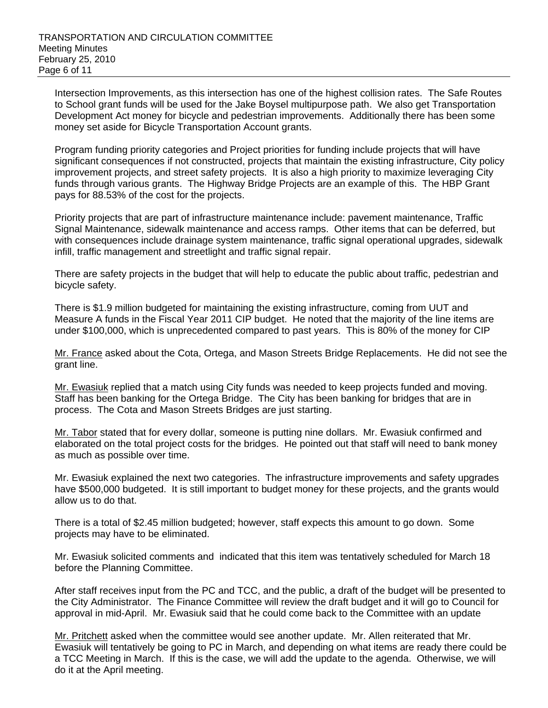Intersection Improvements, as this intersection has one of the highest collision rates. The Safe Routes to School grant funds will be used for the Jake Boysel multipurpose path. We also get Transportation Development Act money for bicycle and pedestrian improvements. Additionally there has been some money set aside for Bicycle Transportation Account grants.

Program funding priority categories and Project priorities for funding include projects that will have significant consequences if not constructed, projects that maintain the existing infrastructure, City policy improvement projects, and street safety projects. It is also a high priority to maximize leveraging City funds through various grants. The Highway Bridge Projects are an example of this. The HBP Grant pays for 88.53% of the cost for the projects.

Priority projects that are part of infrastructure maintenance include: pavement maintenance, Traffic Signal Maintenance, sidewalk maintenance and access ramps. Other items that can be deferred, but with consequences include drainage system maintenance, traffic signal operational upgrades, sidewalk infill, traffic management and streetlight and traffic signal repair.

There are safety projects in the budget that will help to educate the public about traffic, pedestrian and bicycle safety.

There is \$1.9 million budgeted for maintaining the existing infrastructure, coming from UUT and Measure A funds in the Fiscal Year 2011 CIP budget. He noted that the majority of the line items are under \$100,000, which is unprecedented compared to past years. This is 80% of the money for CIP

Mr. France asked about the Cota, Ortega, and Mason Streets Bridge Replacements. He did not see the grant line.

Mr. Ewasiuk replied that a match using City funds was needed to keep projects funded and moving. Staff has been banking for the Ortega Bridge. The City has been banking for bridges that are in process. The Cota and Mason Streets Bridges are just starting.

Mr. Tabor stated that for every dollar, someone is putting nine dollars. Mr. Ewasiuk confirmed and elaborated on the total project costs for the bridges. He pointed out that staff will need to bank money as much as possible over time.

Mr. Ewasiuk explained the next two categories. The infrastructure improvements and safety upgrades have \$500,000 budgeted. It is still important to budget money for these projects, and the grants would allow us to do that.

There is a total of \$2.45 million budgeted; however, staff expects this amount to go down. Some projects may have to be eliminated.

Mr. Ewasiuk solicited comments and indicated that this item was tentatively scheduled for March 18 before the Planning Committee.

After staff receives input from the PC and TCC, and the public, a draft of the budget will be presented to the City Administrator. The Finance Committee will review the draft budget and it will go to Council for approval in mid-April. Mr. Ewasiuk said that he could come back to the Committee with an update

Mr. Pritchett asked when the committee would see another update. Mr. Allen reiterated that Mr. Ewasiuk will tentatively be going to PC in March, and depending on what items are ready there could be a TCC Meeting in March. If this is the case, we will add the update to the agenda. Otherwise, we will do it at the April meeting.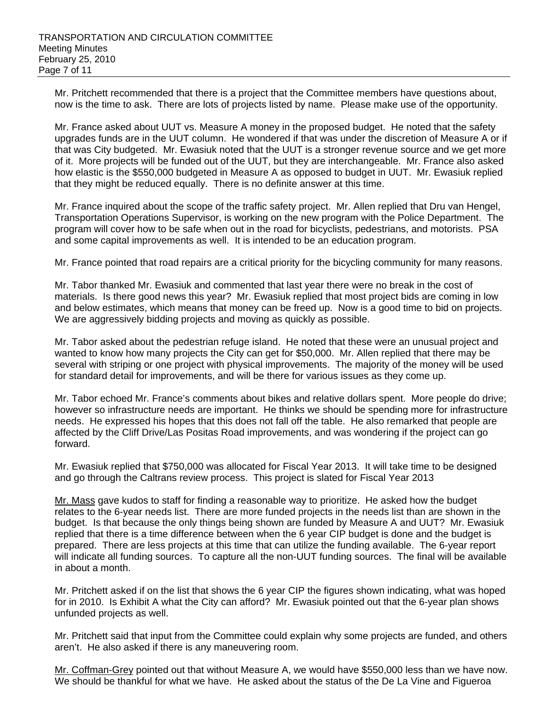Mr. Pritchett recommended that there is a project that the Committee members have questions about, now is the time to ask. There are lots of projects listed by name. Please make use of the opportunity.

Mr. France asked about UUT vs. Measure A money in the proposed budget. He noted that the safety upgrades funds are in the UUT column. He wondered if that was under the discretion of Measure A or if that was City budgeted. Mr. Ewasiuk noted that the UUT is a stronger revenue source and we get more of it. More projects will be funded out of the UUT, but they are interchangeable. Mr. France also asked how elastic is the \$550,000 budgeted in Measure A as opposed to budget in UUT. Mr. Ewasiuk replied that they might be reduced equally. There is no definite answer at this time.

Mr. France inquired about the scope of the traffic safety project. Mr. Allen replied that Dru van Hengel, Transportation Operations Supervisor, is working on the new program with the Police Department. The program will cover how to be safe when out in the road for bicyclists, pedestrians, and motorists. PSA and some capital improvements as well. It is intended to be an education program.

Mr. France pointed that road repairs are a critical priority for the bicycling community for many reasons.

Mr. Tabor thanked Mr. Ewasiuk and commented that last year there were no break in the cost of materials. Is there good news this year? Mr. Ewasiuk replied that most project bids are coming in low and below estimates, which means that money can be freed up. Now is a good time to bid on projects. We are aggressively bidding projects and moving as quickly as possible.

Mr. Tabor asked about the pedestrian refuge island. He noted that these were an unusual project and wanted to know how many projects the City can get for \$50,000. Mr. Allen replied that there may be several with striping or one project with physical improvements. The majority of the money will be used for standard detail for improvements, and will be there for various issues as they come up.

Mr. Tabor echoed Mr. France's comments about bikes and relative dollars spent. More people do drive; however so infrastructure needs are important. He thinks we should be spending more for infrastructure needs. He expressed his hopes that this does not fall off the table. He also remarked that people are affected by the Cliff Drive/Las Positas Road improvements, and was wondering if the project can go forward.

Mr. Ewasiuk replied that \$750,000 was allocated for Fiscal Year 2013. It will take time to be designed and go through the Caltrans review process. This project is slated for Fiscal Year 2013

Mr. Mass gave kudos to staff for finding a reasonable way to prioritize. He asked how the budget relates to the 6-year needs list. There are more funded projects in the needs list than are shown in the budget. Is that because the only things being shown are funded by Measure A and UUT? Mr. Ewasiuk replied that there is a time difference between when the 6 year CIP budget is done and the budget is prepared. There are less projects at this time that can utilize the funding available. The 6-year report will indicate all funding sources. To capture all the non-UUT funding sources. The final will be available in about a month.

Mr. Pritchett asked if on the list that shows the 6 year CIP the figures shown indicating, what was hoped for in 2010. Is Exhibit A what the City can afford? Mr. Ewasiuk pointed out that the 6-year plan shows unfunded projects as well.

Mr. Pritchett said that input from the Committee could explain why some projects are funded, and others aren't. He also asked if there is any maneuvering room.

Mr. Coffman-Grey pointed out that without Measure A, we would have \$550,000 less than we have now. We should be thankful for what we have. He asked about the status of the De La Vine and Figueroa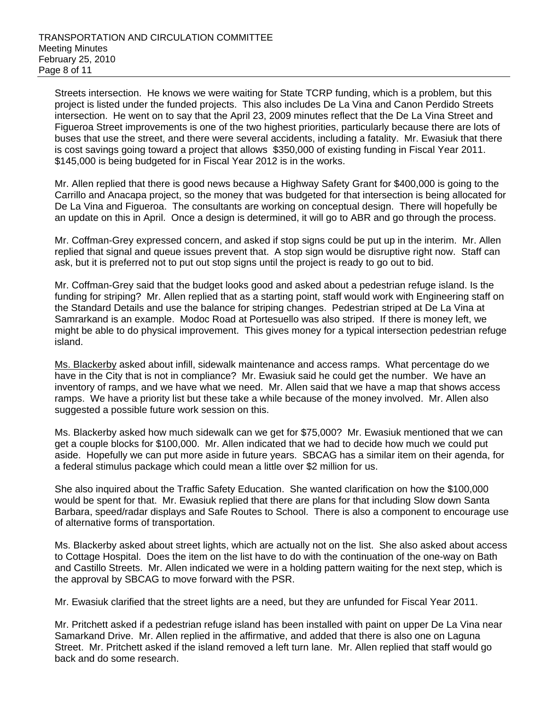Streets intersection. He knows we were waiting for State TCRP funding, which is a problem, but this project is listed under the funded projects. This also includes De La Vina and Canon Perdido Streets intersection. He went on to say that the April 23, 2009 minutes reflect that the De La Vina Street and Figueroa Street improvements is one of the two highest priorities, particularly because there are lots of buses that use the street, and there were several accidents, including a fatality. Mr. Ewasiuk that there is cost savings going toward a project that allows \$350,000 of existing funding in Fiscal Year 2011. \$145,000 is being budgeted for in Fiscal Year 2012 is in the works.

Mr. Allen replied that there is good news because a Highway Safety Grant for \$400,000 is going to the Carrillo and Anacapa project, so the money that was budgeted for that intersection is being allocated for De La Vina and Figueroa. The consultants are working on conceptual design. There will hopefully be an update on this in April. Once a design is determined, it will go to ABR and go through the process.

Mr. Coffman-Grey expressed concern, and asked if stop signs could be put up in the interim. Mr. Allen replied that signal and queue issues prevent that. A stop sign would be disruptive right now. Staff can ask, but it is preferred not to put out stop signs until the project is ready to go out to bid.

Mr. Coffman-Grey said that the budget looks good and asked about a pedestrian refuge island. Is the funding for striping? Mr. Allen replied that as a starting point, staff would work with Engineering staff on the Standard Details and use the balance for striping changes. Pedestrian striped at De La Vina at Samrarkand is an example. Modoc Road at Portesuello was also striped. If there is money left, we might be able to do physical improvement. This gives money for a typical intersection pedestrian refuge island.

Ms. Blackerby asked about infill, sidewalk maintenance and access ramps. What percentage do we have in the City that is not in compliance? Mr. Ewasiuk said he could get the number. We have an inventory of ramps, and we have what we need. Mr. Allen said that we have a map that shows access ramps. We have a priority list but these take a while because of the money involved. Mr. Allen also suggested a possible future work session on this.

Ms. Blackerby asked how much sidewalk can we get for \$75,000? Mr. Ewasiuk mentioned that we can get a couple blocks for \$100,000. Mr. Allen indicated that we had to decide how much we could put aside. Hopefully we can put more aside in future years. SBCAG has a similar item on their agenda, for a federal stimulus package which could mean a little over \$2 million for us.

She also inquired about the Traffic Safety Education. She wanted clarification on how the \$100,000 would be spent for that. Mr. Ewasiuk replied that there are plans for that including Slow down Santa Barbara, speed/radar displays and Safe Routes to School. There is also a component to encourage use of alternative forms of transportation.

Ms. Blackerby asked about street lights, which are actually not on the list. She also asked about access to Cottage Hospital. Does the item on the list have to do with the continuation of the one-way on Bath and Castillo Streets. Mr. Allen indicated we were in a holding pattern waiting for the next step, which is the approval by SBCAG to move forward with the PSR.

Mr. Ewasiuk clarified that the street lights are a need, but they are unfunded for Fiscal Year 2011.

Mr. Pritchett asked if a pedestrian refuge island has been installed with paint on upper De La Vina near Samarkand Drive. Mr. Allen replied in the affirmative, and added that there is also one on Laguna Street. Mr. Pritchett asked if the island removed a left turn lane. Mr. Allen replied that staff would go back and do some research.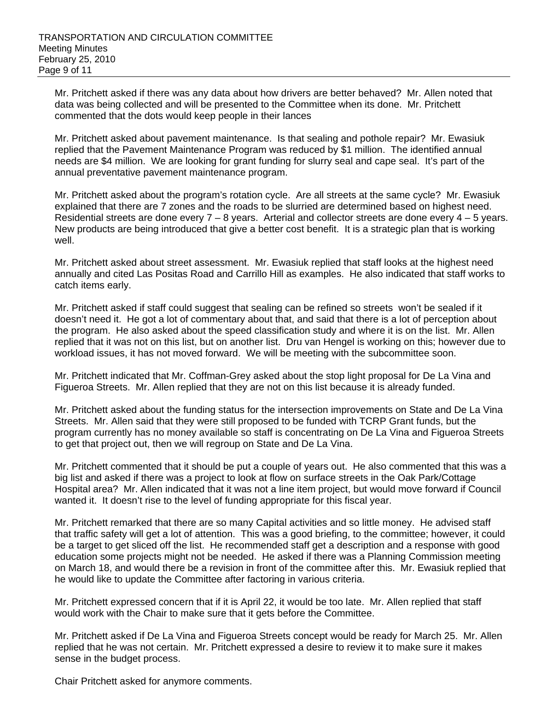Mr. Pritchett asked if there was any data about how drivers are better behaved? Mr. Allen noted that data was being collected and will be presented to the Committee when its done. Mr. Pritchett commented that the dots would keep people in their lances

Mr. Pritchett asked about pavement maintenance. Is that sealing and pothole repair? Mr. Ewasiuk replied that the Pavement Maintenance Program was reduced by \$1 million. The identified annual needs are \$4 million. We are looking for grant funding for slurry seal and cape seal. It's part of the annual preventative pavement maintenance program.

Mr. Pritchett asked about the program's rotation cycle. Are all streets at the same cycle? Mr. Ewasiuk explained that there are 7 zones and the roads to be slurried are determined based on highest need. Residential streets are done every  $7 - 8$  years. Arterial and collector streets are done every  $4 - 5$  years. New products are being introduced that give a better cost benefit. It is a strategic plan that is working well.

Mr. Pritchett asked about street assessment. Mr. Ewasiuk replied that staff looks at the highest need annually and cited Las Positas Road and Carrillo Hill as examples. He also indicated that staff works to catch items early.

Mr. Pritchett asked if staff could suggest that sealing can be refined so streets won't be sealed if it doesn't need it. He got a lot of commentary about that, and said that there is a lot of perception about the program. He also asked about the speed classification study and where it is on the list. Mr. Allen replied that it was not on this list, but on another list. Dru van Hengel is working on this; however due to workload issues, it has not moved forward. We will be meeting with the subcommittee soon.

Mr. Pritchett indicated that Mr. Coffman-Grey asked about the stop light proposal for De La Vina and Figueroa Streets. Mr. Allen replied that they are not on this list because it is already funded.

Mr. Pritchett asked about the funding status for the intersection improvements on State and De La Vina Streets. Mr. Allen said that they were still proposed to be funded with TCRP Grant funds, but the program currently has no money available so staff is concentrating on De La Vina and Figueroa Streets to get that project out, then we will regroup on State and De La Vina.

Mr. Pritchett commented that it should be put a couple of years out. He also commented that this was a big list and asked if there was a project to look at flow on surface streets in the Oak Park/Cottage Hospital area? Mr. Allen indicated that it was not a line item project, but would move forward if Council wanted it. It doesn't rise to the level of funding appropriate for this fiscal year.

Mr. Pritchett remarked that there are so many Capital activities and so little money. He advised staff that traffic safety will get a lot of attention. This was a good briefing, to the committee; however, it could be a target to get sliced off the list. He recommended staff get a description and a response with good education some projects might not be needed. He asked if there was a Planning Commission meeting on March 18, and would there be a revision in front of the committee after this. Mr. Ewasiuk replied that he would like to update the Committee after factoring in various criteria.

Mr. Pritchett expressed concern that if it is April 22, it would be too late. Mr. Allen replied that staff would work with the Chair to make sure that it gets before the Committee.

Mr. Pritchett asked if De La Vina and Figueroa Streets concept would be ready for March 25. Mr. Allen replied that he was not certain. Mr. Pritchett expressed a desire to review it to make sure it makes sense in the budget process.

Chair Pritchett asked for anymore comments.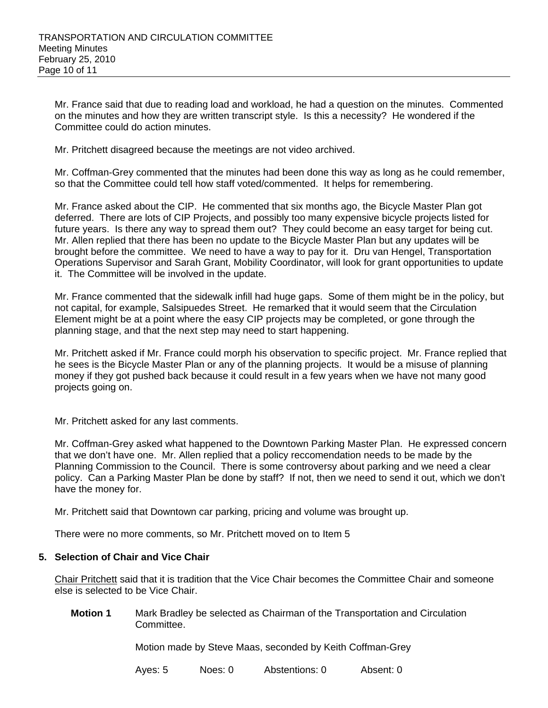Mr. France said that due to reading load and workload, he had a question on the minutes. Commented on the minutes and how they are written transcript style. Is this a necessity? He wondered if the Committee could do action minutes.

Mr. Pritchett disagreed because the meetings are not video archived.

Mr. Coffman-Grey commented that the minutes had been done this way as long as he could remember, so that the Committee could tell how staff voted/commented. It helps for remembering.

Mr. France asked about the CIP. He commented that six months ago, the Bicycle Master Plan got deferred. There are lots of CIP Projects, and possibly too many expensive bicycle projects listed for future years. Is there any way to spread them out? They could become an easy target for being cut. Mr. Allen replied that there has been no update to the Bicycle Master Plan but any updates will be brought before the committee. We need to have a way to pay for it. Dru van Hengel, Transportation Operations Supervisor and Sarah Grant, Mobility Coordinator, will look for grant opportunities to update it. The Committee will be involved in the update.

Mr. France commented that the sidewalk infill had huge gaps. Some of them might be in the policy, but not capital, for example, Salsipuedes Street. He remarked that it would seem that the Circulation Element might be at a point where the easy CIP projects may be completed, or gone through the planning stage, and that the next step may need to start happening.

Mr. Pritchett asked if Mr. France could morph his observation to specific project. Mr. France replied that he sees is the Bicycle Master Plan or any of the planning projects. It would be a misuse of planning money if they got pushed back because it could result in a few years when we have not many good projects going on.

Mr. Pritchett asked for any last comments.

Mr. Coffman-Grey asked what happened to the Downtown Parking Master Plan. He expressed concern that we don't have one. Mr. Allen replied that a policy reccomendation needs to be made by the Planning Commission to the Council. There is some controversy about parking and we need a clear policy. Can a Parking Master Plan be done by staff? If not, then we need to send it out, which we don't have the money for.

Mr. Pritchett said that Downtown car parking, pricing and volume was brought up.

There were no more comments, so Mr. Pritchett moved on to Item 5

#### **5. Selection of Chair and Vice Chair**

Chair Pritchett said that it is tradition that the Vice Chair becomes the Committee Chair and someone else is selected to be Vice Chair.

**Motion 1** Mark Bradley be selected as Chairman of the Transportation and Circulation Committee.

Motion made by Steve Maas, seconded by Keith Coffman-Grey

Ayes: 5 Noes: 0 Abstentions: 0 Absent: 0